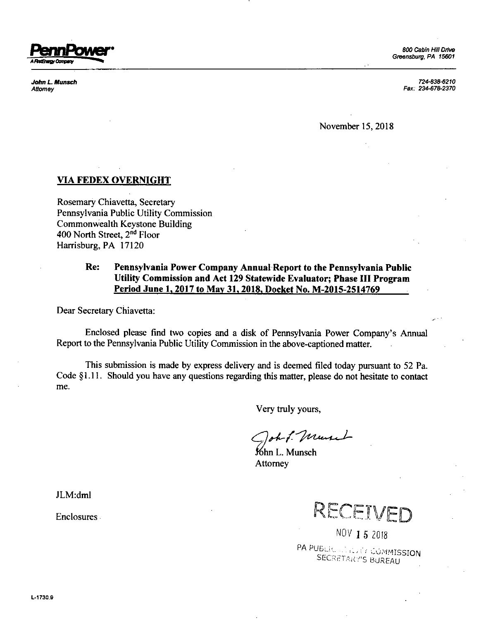

*John L. Munsch 724-838-6210 Attorney Fax: 234-678-2370*

November 15,2018

## **VIA FEDEX OVERNIGHT**

Rosemary Chiavetta, Secretary Pennsylvania Public Utility Commission Commonwealth Keystone Building 400 North Street, 2<sup>nd</sup> Floor Harrisburg, PA 17120

## **Re: Pennsylvania Power Company Annual Report to the Pennsylvania Public Utility Commission and Act <sup>129</sup> Statewide Evaluator; Phase III Program Period June 1. 2017 to May 31.2018. Docket No. M-2015-2514769**

Dear Secretary Chiavetta:

Enclosed please find two copies and <sup>a</sup> disk of Pennsylvania Power Company's Annual Report to the Pennsylvania Public Utility Commission inthe above-captioned matter.

This submission is made by express delivery and is deemed filed today pursuant to 52 Pa. Code §1.11. Should you have any questions regarding this matter, please do not hesitate to contact me.

Very truly yours,

oh & Murch

≸6hn L. Munsch Attorney

RECEIVED

NOV 15 2018 PA PUBLIC ... ... ... if COMMISSION SECRETARY'S BUREAU

JLM:dml

Enclosures